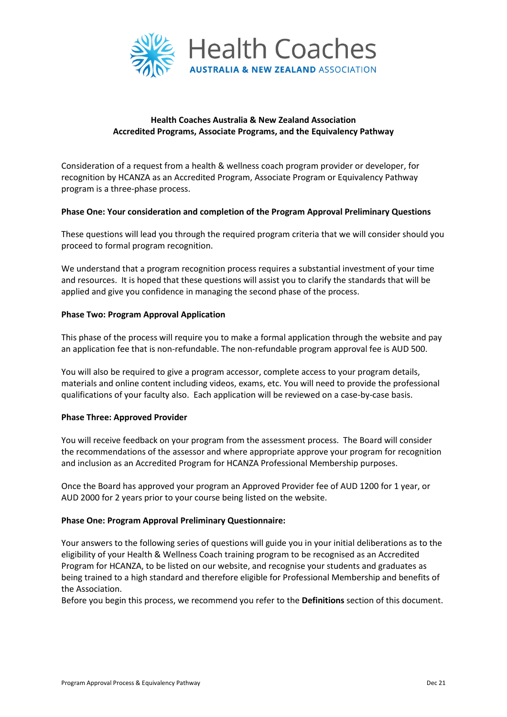

# **Health Coaches Australia & New Zealand Association Accredited Programs, Associate Programs, and the Equivalency Pathway**

Consideration of a request from a health & wellness coach program provider or developer, for recognition by HCANZA as an Accredited Program, Associate Program or Equivalency Pathway program is a three-phase process.

## **Phase One: Your consideration and completion of the Program Approval Preliminary Questions**

These questions will lead you through the required program criteria that we will consider should you proceed to formal program recognition.

We understand that a program recognition process requires a substantial investment of your time and resources. It is hoped that these questions will assist you to clarify the standards that will be applied and give you confidence in managing the second phase of the process.

### **Phase Two: Program Approval Application**

This phase of the process will require you to make a formal application through the website and pay an application fee that is non-refundable. The non-refundable program approval fee is AUD 500.

You will also be required to give a program accessor, complete access to your program details, materials and online content including videos, exams, etc. You will need to provide the professional qualifications of your faculty also. Each application will be reviewed on a case-by-case basis.

## **Phase Three: Approved Provider**

You will receive feedback on your program from the assessment process. The Board will consider the recommendations of the assessor and where appropriate approve your program for recognition and inclusion as an Accredited Program for HCANZA Professional Membership purposes.

Once the Board has approved your program an Approved Provider fee of AUD 1200 for 1 year, or AUD 2000 for 2 years prior to your course being listed on the website.

#### **Phase One: Program Approval Preliminary Questionnaire:**

Your answers to the following series of questions will guide you in your initial deliberations as to the eligibility of your Health & Wellness Coach training program to be recognised as an Accredited Program for HCANZA, to be listed on our website, and recognise your students and graduates as being trained to a high standard and therefore eligible for Professional Membership and benefits of the Association.

Before you begin this process, we recommend you refer to the **Definitions** section of this document.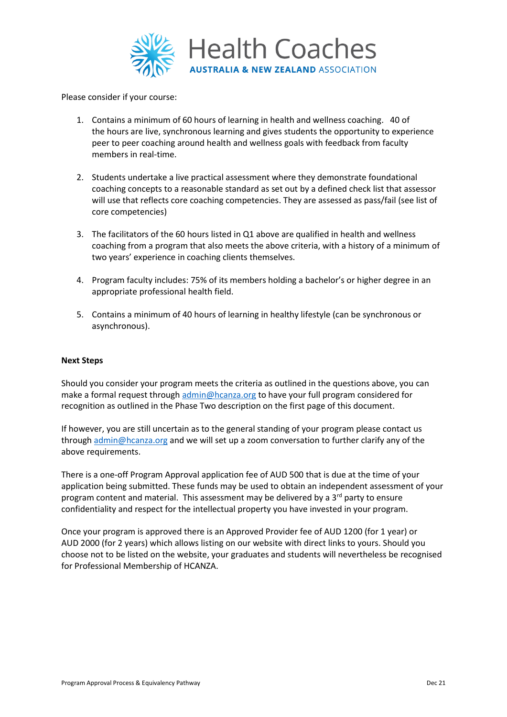

Please consider if your course:

- 1. Contains a minimum of 60 hours of learning in health and wellness coaching. 40 of the hours are live, synchronous learning and gives students the opportunity to experience peer to peer coaching around health and wellness goals with feedback from faculty members in real-time.
- 2. Students undertake a live practical assessment where they demonstrate foundational coaching concepts to a reasonable standard as set out by a defined check list that assessor will use that reflects core coaching competencies. They are assessed as pass/fail (see list of core competencies)
- 3. The facilitators of the 60 hours listed in Q1 above are qualified in health and wellness coaching from a program that also meets the above criteria, with a history of a minimum of two years' experience in coaching clients themselves.
- 4. Program faculty includes: 75% of its members holding a bachelor's or higher degree in an appropriate professional health field.
- 5. Contains a minimum of 40 hours of learning in healthy lifestyle (can be synchronous or asynchronous).

## **Next Steps**

Should you consider your program meets the criteria as outlined in the questions above, you can make a formal request through [admin@hcanza.org](mailto:admin@hcanza.org) to have your full program considered for recognition as outlined in the Phase Two description on the first page of this document.

If however, you are still uncertain as to the general standing of your program please contact us through [admin@hcanza.org](mailto:admin@hcanza.org) and we will set up a zoom conversation to further clarify any of the above requirements.

There is a one-off Program Approval application fee of AUD 500 that is due at the time of your application being submitted. These funds may be used to obtain an independent assessment of your program content and material. This assessment may be delivered by a 3<sup>rd</sup> party to ensure confidentiality and respect for the intellectual property you have invested in your program.

Once your program is approved there is an Approved Provider fee of AUD 1200 (for 1 year) or AUD 2000 (for 2 years) which allows listing on our website with direct links to yours. Should you choose not to be listed on the website, your graduates and students will nevertheless be recognised for Professional Membership of HCANZA.